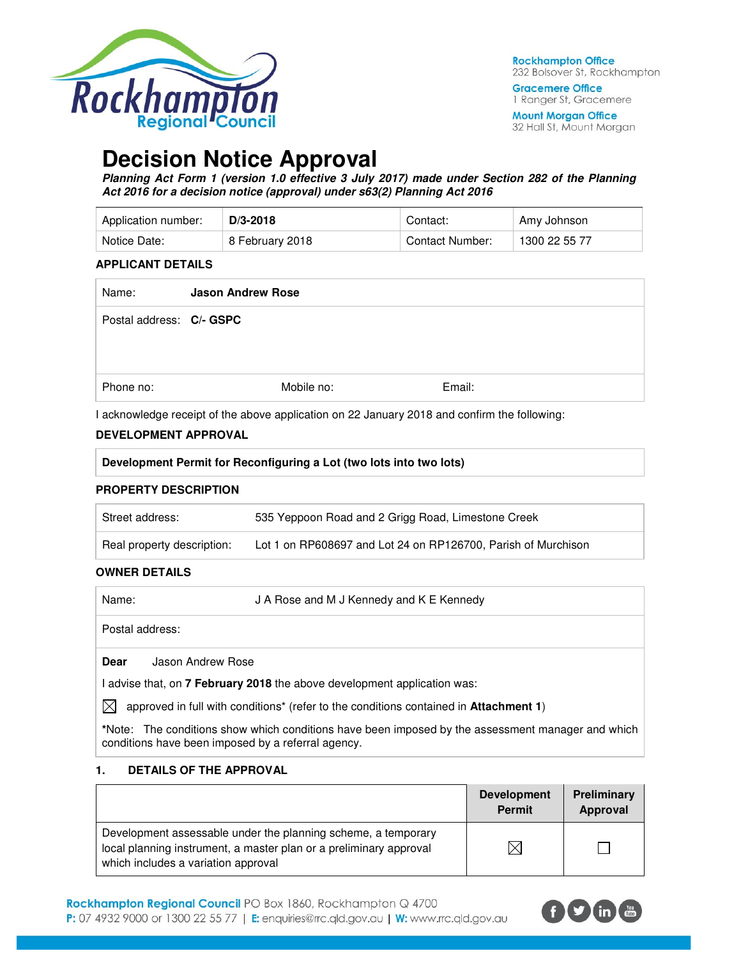

**Gracemere Office** 1 Ranger St, Gracemere

**Mount Morgan Office** 32 Hall St, Mount Morgan

# **Decision Notice Approval**

**Planning Act Form 1 (version 1.0 effective 3 July 2017) made under Section 282 of the Planning Act 2016 for a decision notice (approval) under s63(2) Planning Act 2016** 

| Application number: | $D/3 - 2018$    | Contact:        | Amy Johnson   |
|---------------------|-----------------|-----------------|---------------|
| Notice Date:        | 8 February 2018 | Contact Number: | 1300 22 55 77 |

### **APPLICANT DETAILS**

| Name:                    | <b>Jason Andrew Rose</b> |            |        |
|--------------------------|--------------------------|------------|--------|
| Postal address: C/- GSPC |                          |            |        |
| Phone no:                |                          | Mobile no: | Email: |

I acknowledge receipt of the above application on 22 January 2018 and confirm the following:

### **DEVELOPMENT APPROVAL**

| I acknowledge receipt of the above application on $zz$ January 2018 and confirm the following: |                                                                     |  |  |  |
|------------------------------------------------------------------------------------------------|---------------------------------------------------------------------|--|--|--|
| <b>DEVELOPMENT APPROVAL</b>                                                                    |                                                                     |  |  |  |
|                                                                                                | Development Permit for Reconfiguring a Lot (two lots into two lots) |  |  |  |
| <b>PROPERTY DESCRIPTION</b>                                                                    |                                                                     |  |  |  |
| Street address:                                                                                | 535 Yeppoon Road and 2 Grigg Road, Limestone Creek                  |  |  |  |

| Real property description: | Lot 1 on RP608697 and Lot 24 on RP126700, Parish of Murchison |
|----------------------------|---------------------------------------------------------------|
|                            |                                                               |

### **OWNER DETAILS**

| Name:                                                                    | J A Rose and M J Kennedy and K E Kennedy |  |
|--------------------------------------------------------------------------|------------------------------------------|--|
| Postal address:                                                          |                                          |  |
| <b>Dear</b>                                                              | Jason Andrew Rose                        |  |
| I advise that, on 7 February 2018 the above development application was: |                                          |  |

 $\bowtie$  approved in full with conditions<sup>\*</sup> (refer to the conditions contained in **Attachment 1**)

**\***Note:The conditions show which conditions have been imposed by the assessment manager and which conditions have been imposed by a referral agency.

### **1. DETAILS OF THE APPROVAL**

|                                                                                                                                                                            | <b>Development</b><br><b>Permit</b> | Preliminary<br>Approval |
|----------------------------------------------------------------------------------------------------------------------------------------------------------------------------|-------------------------------------|-------------------------|
| Development assessable under the planning scheme, a temporary<br>local planning instrument, a master plan or a preliminary approval<br>which includes a variation approval |                                     |                         |

Rockhampton Regional Council PO Box 1860, Rockhampton Q 4700 P: 07 4932 9000 or 1300 22 55 77 | E: enquiries@rrc.qld.gov.au | W: www.rrc.qld.gov.au

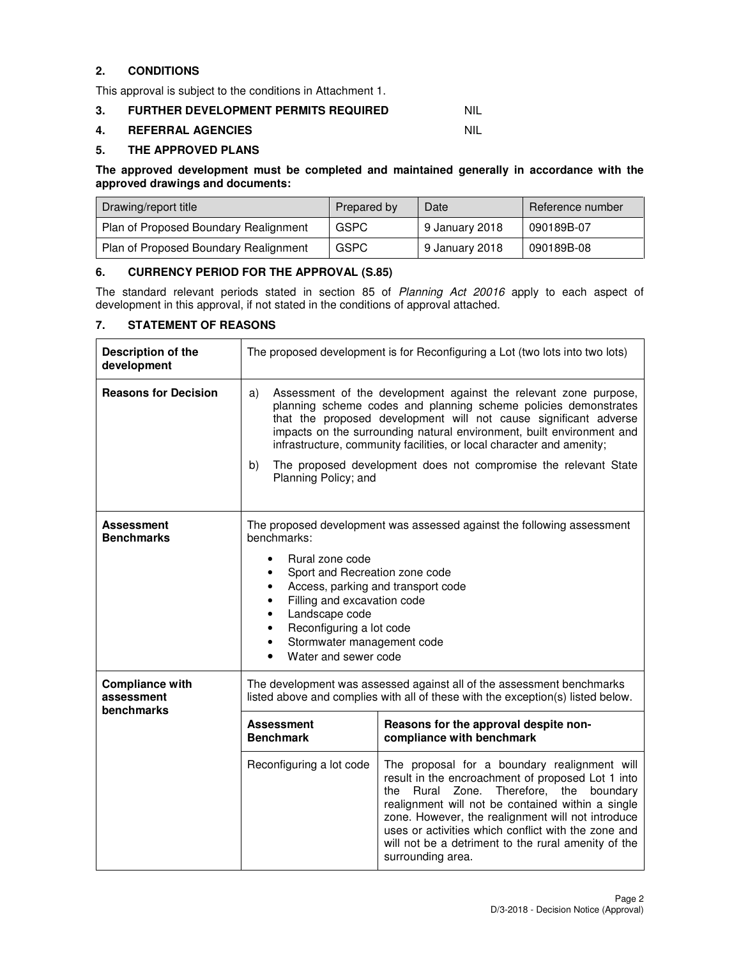### **2. CONDITIONS**

This approval is subject to the conditions in Attachment 1.

### **3. FURTHER DEVELOPMENT PERMITS REQUIRED NIL**

### **4. REFERRAL AGENCIES** NIL

### **5. THE APPROVED PLANS**

**The approved development must be completed and maintained generally in accordance with the approved drawings and documents:** 

| Drawing/report title                  | Prepared by | Date           | Reference number |
|---------------------------------------|-------------|----------------|------------------|
| Plan of Proposed Boundary Realignment | GSPC        | 9 January 2018 | 090189B-07       |
| Plan of Proposed Boundary Realignment | GSPC        | 9 January 2018 | 090189B-08       |

### **6. CURRENCY PERIOD FOR THE APPROVAL (S.85)**

The standard relevant periods stated in section 85 of Planning Act 20016 apply to each aspect of development in this approval, if not stated in the conditions of approval attached.

### **7. STATEMENT OF REASONS**

| Description of the<br>development                  | The proposed development is for Reconfiguring a Lot (two lots into two lots)                                                                                                                                                                                                                                                                                                                                                                                     |                                                                                                                                                                                                                                                                                                                                                                                                    |
|----------------------------------------------------|------------------------------------------------------------------------------------------------------------------------------------------------------------------------------------------------------------------------------------------------------------------------------------------------------------------------------------------------------------------------------------------------------------------------------------------------------------------|----------------------------------------------------------------------------------------------------------------------------------------------------------------------------------------------------------------------------------------------------------------------------------------------------------------------------------------------------------------------------------------------------|
| <b>Reasons for Decision</b>                        | Assessment of the development against the relevant zone purpose,<br>a)<br>planning scheme codes and planning scheme policies demonstrates<br>that the proposed development will not cause significant adverse<br>impacts on the surrounding natural environment, built environment and<br>infrastructure, community facilities, or local character and amenity;<br>The proposed development does not compromise the relevant State<br>b)<br>Planning Policy; and |                                                                                                                                                                                                                                                                                                                                                                                                    |
| <b>Assessment</b><br><b>Benchmarks</b>             | The proposed development was assessed against the following assessment<br>benchmarks:<br>Rural zone code<br>Sport and Recreation zone code<br>Access, parking and transport code<br>Filling and excavation code<br>Landscape code<br>Reconfiguring a lot code<br>٠<br>Stormwater management code<br>٠<br>Water and sewer code<br>$\bullet$                                                                                                                       |                                                                                                                                                                                                                                                                                                                                                                                                    |
| <b>Compliance with</b><br>assessment<br>benchmarks | The development was assessed against all of the assessment benchmarks<br>listed above and complies with all of these with the exception(s) listed below.                                                                                                                                                                                                                                                                                                         |                                                                                                                                                                                                                                                                                                                                                                                                    |
|                                                    | <b>Assessment</b><br>Reasons for the approval despite non-<br>compliance with benchmark<br><b>Benchmark</b>                                                                                                                                                                                                                                                                                                                                                      |                                                                                                                                                                                                                                                                                                                                                                                                    |
|                                                    | Reconfiguring a lot code                                                                                                                                                                                                                                                                                                                                                                                                                                         | The proposal for a boundary realignment will<br>result in the encroachment of proposed Lot 1 into<br>Rural<br>Zone.<br>Therefore, the boundary<br>the<br>realignment will not be contained within a single<br>zone. However, the realignment will not introduce<br>uses or activities which conflict with the zone and<br>will not be a detriment to the rural amenity of the<br>surrounding area. |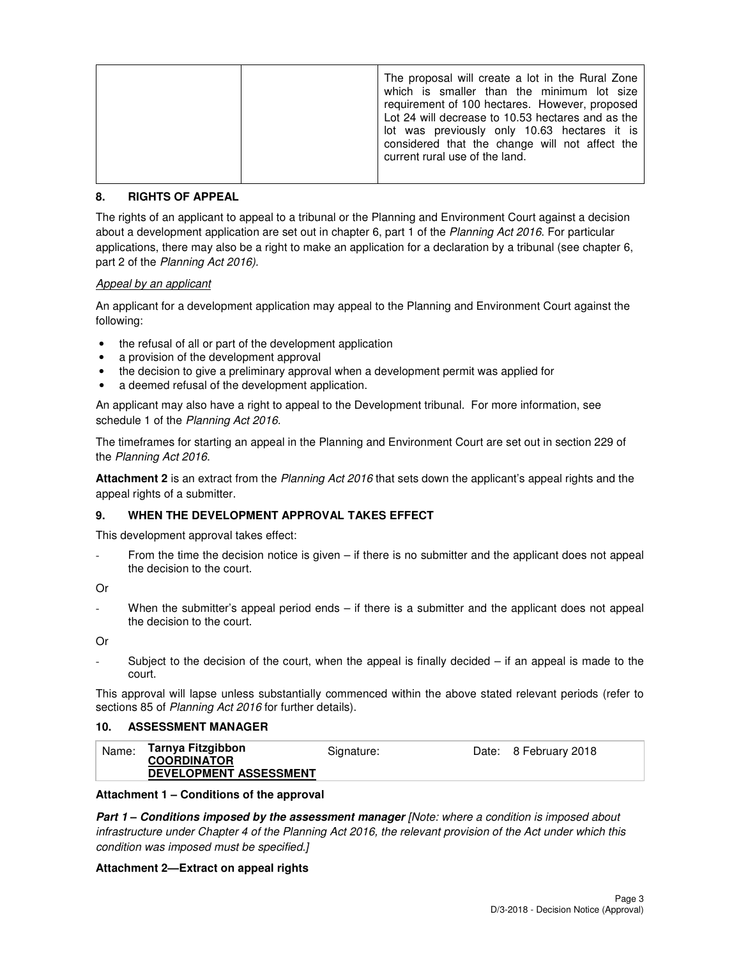|  | The proposal will create a lot in the Rural Zone<br>which is smaller than the minimum lot size<br>requirement of 100 hectares. However, proposed<br>Lot 24 will decrease to 10.53 hectares and as the<br>lot was previously only 10.63 hectares it is<br>considered that the change will not affect the<br>current rural use of the land. |
|--|-------------------------------------------------------------------------------------------------------------------------------------------------------------------------------------------------------------------------------------------------------------------------------------------------------------------------------------------|
|--|-------------------------------------------------------------------------------------------------------------------------------------------------------------------------------------------------------------------------------------------------------------------------------------------------------------------------------------------|

### **8. RIGHTS OF APPEAL**

The rights of an applicant to appeal to a tribunal or the Planning and Environment Court against a decision about a development application are set out in chapter 6, part 1 of the Planning Act 2016. For particular applications, there may also be a right to make an application for a declaration by a tribunal (see chapter 6, part 2 of the Planning Act 2016).

### Appeal by an applicant

An applicant for a development application may appeal to the Planning and Environment Court against the following:

- the refusal of all or part of the development application
- a provision of the development approval
- the decision to give a preliminary approval when a development permit was applied for
- a deemed refusal of the development application.

An applicant may also have a right to appeal to the Development tribunal. For more information, see schedule 1 of the Planning Act 2016.

The timeframes for starting an appeal in the Planning and Environment Court are set out in section 229 of the Planning Act 2016.

**Attachment 2** is an extract from the Planning Act 2016 that sets down the applicant's appeal rights and the appeal rights of a submitter.

### **9. WHEN THE DEVELOPMENT APPROVAL TAKES EFFECT**

This development approval takes effect:

From the time the decision notice is given – if there is no submitter and the applicant does not appeal the decision to the court.

Or

When the submitter's appeal period ends – if there is a submitter and the applicant does not appeal the decision to the court.

Or

Subject to the decision of the court, when the appeal is finally decided  $-$  if an appeal is made to the court.

This approval will lapse unless substantially commenced within the above stated relevant periods (refer to sections 85 of Planning Act 2016 for further details).

### **10. ASSESSMENT MANAGER**

| Name: | Tarnya Fitzgibbon<br><b>COORDINATOR</b> | Signature: | Date: 8 February 2018 |
|-------|-----------------------------------------|------------|-----------------------|
|       | <b>DEVELOPMENT ASSESSMENT</b>           |            |                       |

### **Attachment 1 – Conditions of the approval**

**Part 1 – Conditions imposed by the assessment manager** [Note: where a condition is imposed about infrastructure under Chapter 4 of the Planning Act 2016, the relevant provision of the Act under which this condition was imposed must be specified.]

### **Attachment 2—Extract on appeal rights**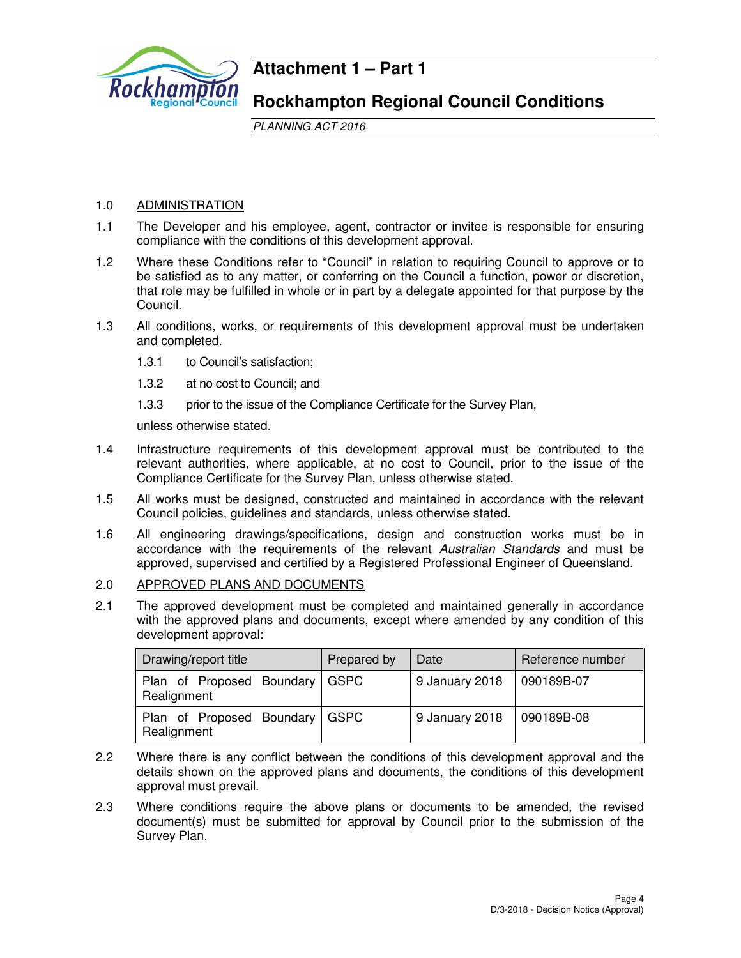

### **Attachment 1 – Part 1**

### **Rockhampton Regional Council Conditions**

PLANNING ACT 2016

### 1.0 ADMINISTRATION

- 1.1 The Developer and his employee, agent, contractor or invitee is responsible for ensuring compliance with the conditions of this development approval.
- 1.2 Where these Conditions refer to "Council" in relation to requiring Council to approve or to be satisfied as to any matter, or conferring on the Council a function, power or discretion, that role may be fulfilled in whole or in part by a delegate appointed for that purpose by the Council.
- 1.3 All conditions, works, or requirements of this development approval must be undertaken and completed.
	- 1.3.1 to Council's satisfaction;
	- 1.3.2 at no cost to Council; and
	- 1.3.3 prior to the issue of the Compliance Certificate for the Survey Plan,

unless otherwise stated.

- 1.4 Infrastructure requirements of this development approval must be contributed to the relevant authorities, where applicable, at no cost to Council, prior to the issue of the Compliance Certificate for the Survey Plan, unless otherwise stated.
- 1.5 All works must be designed, constructed and maintained in accordance with the relevant Council policies, guidelines and standards, unless otherwise stated.
- 1.6 All engineering drawings/specifications, design and construction works must be in accordance with the requirements of the relevant Australian Standards and must be approved, supervised and certified by a Registered Professional Engineer of Queensland.
- 2.0 APPROVED PLANS AND DOCUMENTS
- 2.1 The approved development must be completed and maintained generally in accordance with the approved plans and documents, except where amended by any condition of this development approval:

| Drawing/report title                     | Prepared by | Date           | Reference number |
|------------------------------------------|-------------|----------------|------------------|
| Plan of Proposed Boundary<br>Realignment | <b>GSPC</b> | 9 January 2018 | 090189B-07       |
| Plan of Proposed Boundary<br>Realignment | <b>GSPC</b> | 9 January 2018 | 090189B-08       |

- 2.2 Where there is any conflict between the conditions of this development approval and the details shown on the approved plans and documents, the conditions of this development approval must prevail.
- 2.3 Where conditions require the above plans or documents to be amended, the revised document(s) must be submitted for approval by Council prior to the submission of the Survey Plan.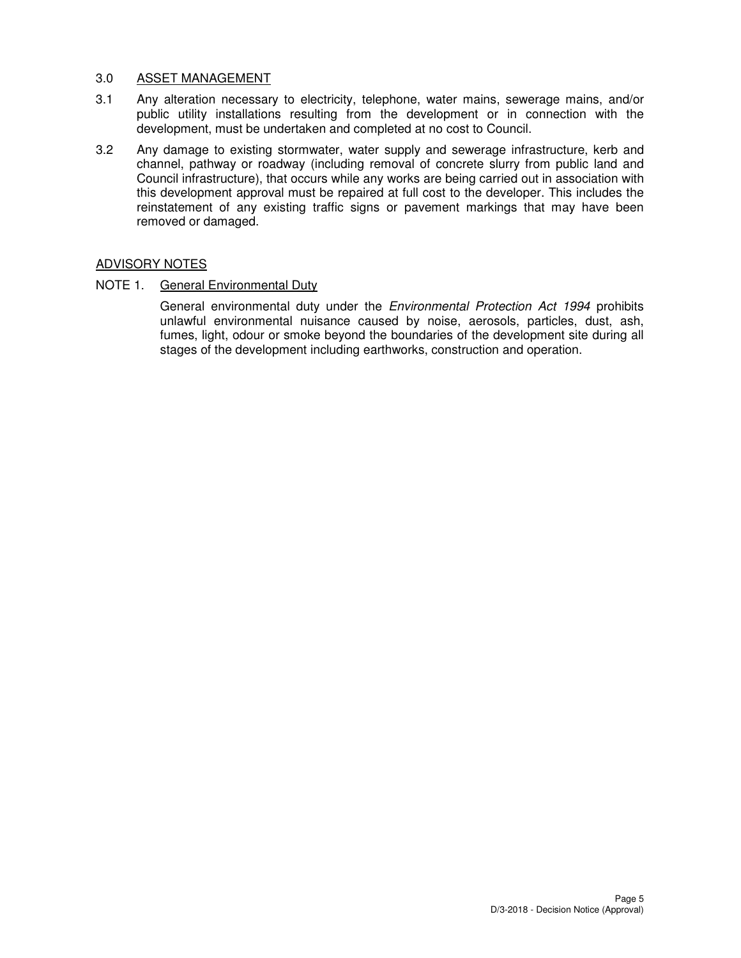### 3.0 ASSET MANAGEMENT

- 3.1 Any alteration necessary to electricity, telephone, water mains, sewerage mains, and/or public utility installations resulting from the development or in connection with the development, must be undertaken and completed at no cost to Council.
- 3.2 Any damage to existing stormwater, water supply and sewerage infrastructure, kerb and channel, pathway or roadway (including removal of concrete slurry from public land and Council infrastructure), that occurs while any works are being carried out in association with this development approval must be repaired at full cost to the developer. This includes the reinstatement of any existing traffic signs or pavement markings that may have been removed or damaged.

### ADVISORY NOTES

### NOTE 1. General Environmental Duty

General environmental duty under the Environmental Protection Act 1994 prohibits unlawful environmental nuisance caused by noise, aerosols, particles, dust, ash, fumes, light, odour or smoke beyond the boundaries of the development site during all stages of the development including earthworks, construction and operation.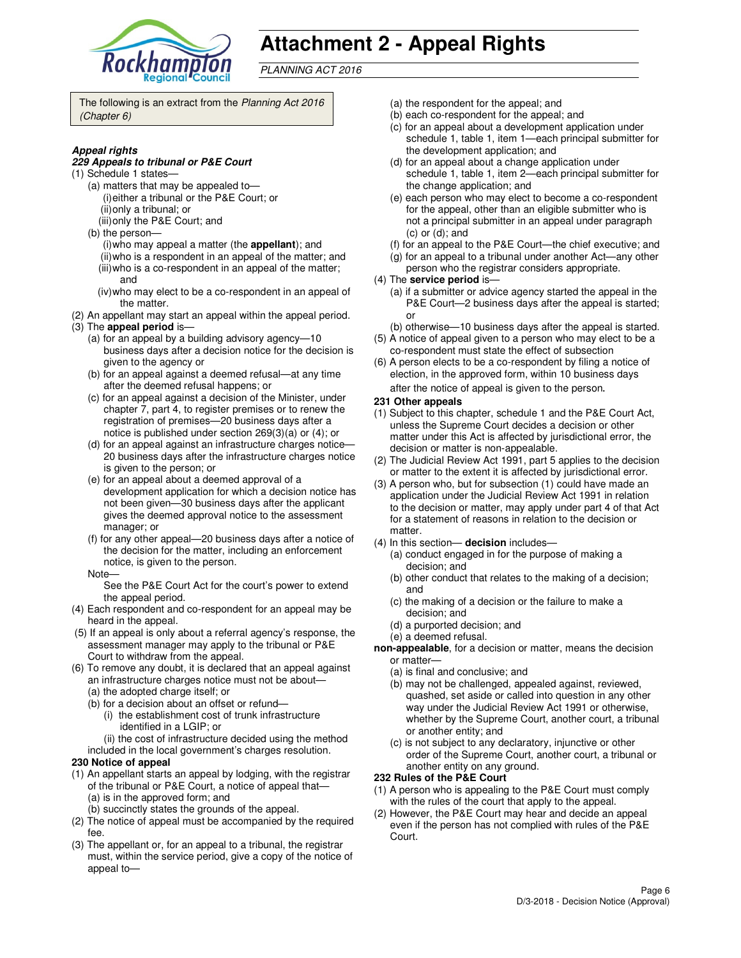

# **Attachment 2 - Appeal Rights**

PLANNING ACT 2016

The following is an extract from the Planning Act 2016 (Chapter 6)

### **Appeal rights**

#### **229 Appeals to tribunal or P&E Court**

- (1) Schedule 1 states—
	- (a) matters that may be appealed to— (i) either a tribunal or the P&E Court; or (ii) only a tribunal; or
	- (iii) only the P&E Court; and
	- (b) the person—
		- (i) who may appeal a matter (the **appellant**); and (ii) who is a respondent in an appeal of the matter; and (iii) who is a co-respondent in an appeal of the matter;
		- and
	- (iv) who may elect to be a co-respondent in an appeal of the matter.
- (2) An appellant may start an appeal within the appeal period. (3) The **appeal period** is—
	- (a) for an appeal by a building advisory agency—10 business days after a decision notice for the decision is given to the agency or
	- (b) for an appeal against a deemed refusal—at any time after the deemed refusal happens; or
	- (c) for an appeal against a decision of the Minister, under chapter 7, part 4, to register premises or to renew the registration of premises—20 business days after a notice is published under section 269(3)(a) or (4); or
	- (d) for an appeal against an infrastructure charges notice— 20 business days after the infrastructure charges notice is given to the person; or
	- (e) for an appeal about a deemed approval of a development application for which a decision notice has not been given—30 business days after the applicant gives the deemed approval notice to the assessment manager; or
	- (f) for any other appeal—20 business days after a notice of the decision for the matter, including an enforcement notice, is given to the person.
	- Note—

See the P&E Court Act for the court's power to extend the appeal period.

- (4) Each respondent and co-respondent for an appeal may be heard in the appeal.
- (5) If an appeal is only about a referral agency's response, the assessment manager may apply to the tribunal or P&E Court to withdraw from the appeal.
- (6) To remove any doubt, it is declared that an appeal against an infrastructure charges notice must not be about—
	- (a) the adopted charge itself; or
	- (b) for a decision about an offset or refund—
		- (i) the establishment cost of trunk infrastructure identified in a LGIP; or
		- (ii) the cost of infrastructure decided using the method
	- included in the local government's charges resolution.

### **230 Notice of appeal**

- (1) An appellant starts an appeal by lodging, with the registrar of the tribunal or P&E Court, a notice of appeal that— (a) is in the approved form; and
	- (b) succinctly states the grounds of the appeal.
- (2) The notice of appeal must be accompanied by the required fee.
- (3) The appellant or, for an appeal to a tribunal, the registrar must, within the service period, give a copy of the notice of appeal to—
- (a) the respondent for the appeal; and
- (b) each co-respondent for the appeal; and
- (c) for an appeal about a development application under schedule 1, table 1, item 1—each principal submitter for the development application; and
- (d) for an appeal about a change application under schedule 1, table 1, item 2—each principal submitter for the change application; and
- (e) each person who may elect to become a co-respondent for the appeal, other than an eligible submitter who is not a principal submitter in an appeal under paragraph (c) or (d); and
- (f) for an appeal to the P&E Court—the chief executive; and
- (g) for an appeal to a tribunal under another Act—any other
- person who the registrar considers appropriate.
- (4) The **service period** is—
	- (a) if a submitter or advice agency started the appeal in the P&E Court—2 business days after the appeal is started; or
- (b) otherwise—10 business days after the appeal is started. (5) A notice of appeal given to a person who may elect to be a
- co-respondent must state the effect of subsection (6) A person elects to be a co-respondent by filing a notice of
- election, in the approved form, within 10 business days after the notice of appeal is given to the person*.*
- **231 Other appeals**
- (1) Subject to this chapter, schedule 1 and the P&E Court Act, unless the Supreme Court decides a decision or other matter under this Act is affected by jurisdictional error, the decision or matter is non-appealable.
- (2) The Judicial Review Act 1991, part 5 applies to the decision or matter to the extent it is affected by jurisdictional error.
- (3) A person who, but for subsection (1) could have made an application under the Judicial Review Act 1991 in relation to the decision or matter, may apply under part 4 of that Act for a statement of reasons in relation to the decision or matter.
- (4) In this section— **decision** includes—
	- (a) conduct engaged in for the purpose of making a decision; and
	- (b) other conduct that relates to the making of a decision; and
	- (c) the making of a decision or the failure to make a decision; and
	- (d) a purported decision; and
	- (e) a deemed refusal.
- **non-appealable**, for a decision or matter, means the decision or matter—
	- (a) is final and conclusive; and
	- (b) may not be challenged, appealed against, reviewed, quashed, set aside or called into question in any other way under the Judicial Review Act 1991 or otherwise, whether by the Supreme Court, another court, a tribunal or another entity; and
	- (c) is not subject to any declaratory, injunctive or other order of the Supreme Court, another court, a tribunal or another entity on any ground.

### **232 Rules of the P&E Court**

- (1) A person who is appealing to the P&E Court must comply with the rules of the court that apply to the appeal.
- (2) However, the P&E Court may hear and decide an appeal even if the person has not complied with rules of the P&E Court.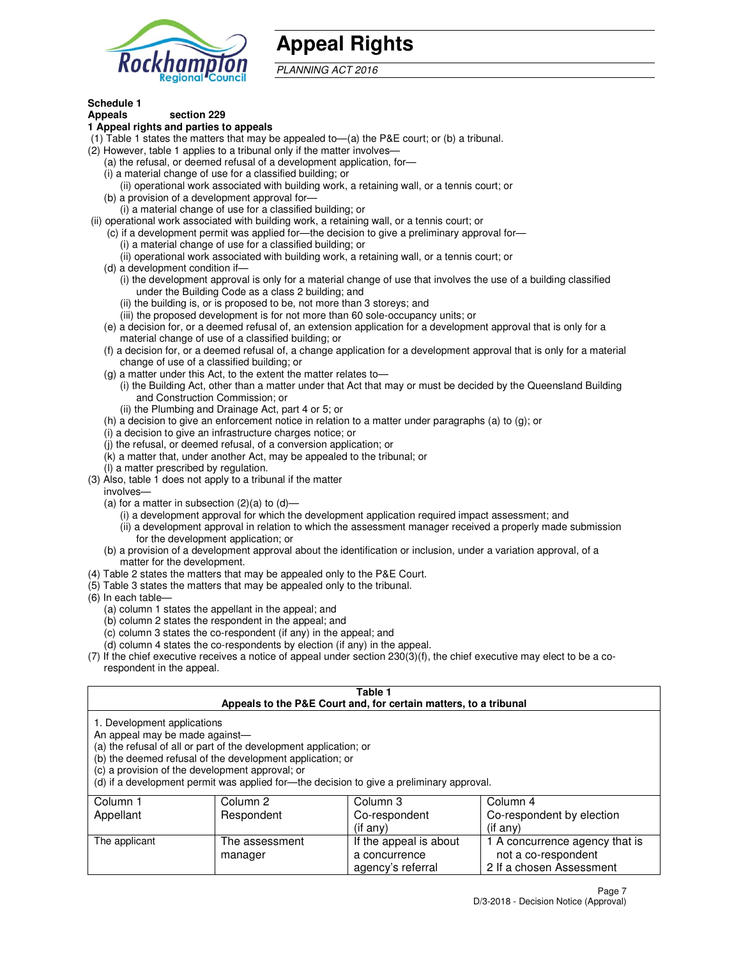

## **Appeal Rights**

PLANNING ACT 2016

#### **Schedule 1 Appeals section 229**

### **1 Appeal rights and parties to appeals**

- (1) Table 1 states the matters that may be appealed to—(a) the P&E court; or (b) a tribunal.
- (2) However, table 1 applies to a tribunal only if the matter involves—
	- (a) the refusal, or deemed refusal of a development application, for—
	- (i) a material change of use for a classified building; or
	- (ii) operational work associated with building work, a retaining wall, or a tennis court; or (b) a provision of a development approval for—
	- (i) a material change of use for a classified building; or
- (ii) operational work associated with building work, a retaining wall, or a tennis court; or
	- (c) if a development permit was applied for—the decision to give a preliminary approval for—
		- (i) a material change of use for a classified building; or
		- (ii) operational work associated with building work, a retaining wall, or a tennis court; or
	- (d) a development condition if—
		- (i) the development approval is only for a material change of use that involves the use of a building classified under the Building Code as a class 2 building; and
		- (ii) the building is, or is proposed to be, not more than 3 storeys; and
		- (iii) the proposed development is for not more than 60 sole-occupancy units; or
	- (e) a decision for, or a deemed refusal of, an extension application for a development approval that is only for a material change of use of a classified building; or
	- (f) a decision for, or a deemed refusal of, a change application for a development approval that is only for a material change of use of a classified building; or
	- (g) a matter under this Act, to the extent the matter relates to—
		- (i) the Building Act, other than a matter under that Act that may or must be decided by the Queensland Building and Construction Commission; or
		- (ii) the Plumbing and Drainage Act, part 4 or 5; or
	- (h) a decision to give an enforcement notice in relation to a matter under paragraphs (a) to (g); or
	- (i) a decision to give an infrastructure charges notice; or
	- (j) the refusal, or deemed refusal, of a conversion application; or
	- (k) a matter that, under another Act, may be appealed to the tribunal; or
	- (l) a matter prescribed by regulation.
- (3) Also, table 1 does not apply to a tribunal if the matter
- involves—
	- (a) for a matter in subsection  $(2)(a)$  to  $(d)$ 
		- (i) a development approval for which the development application required impact assessment; and
		- (ii) a development approval in relation to which the assessment manager received a properly made submission for the development application; or
	- (b) a provision of a development approval about the identification or inclusion, under a variation approval, of a matter for the development.
- (4) Table 2 states the matters that may be appealed only to the P&E Court.
- (5) Table 3 states the matters that may be appealed only to the tribunal.
- (6) In each table—
	- (a) column 1 states the appellant in the appeal; and
	- (b) column 2 states the respondent in the appeal; and
	- (c) column 3 states the co-respondent (if any) in the appeal; and
	- (d) column 4 states the co-respondents by election (if any) in the appeal.
- (7) If the chief executive receives a notice of appeal under section 230(3)(f), the chief executive may elect to be a corespondent in the appeal.

#### **Table 1 Appeals to the P&E Court and, for certain matters, to a tribunal**

| 1. Development applications             |
|-----------------------------------------|
|                                         |
| المفاوض والمفعد وماريم ومالح ومروم ومال |

An appeal may be made against—

(a) the refusal of all or part of the development application; or

(b) the deemed refusal of the development application; or

(c) a provision of the development approval; or

(d) if a development permit was applied for—the decision to give a preliminary approval.

| Column 1      | Column 2       | Column 3               | Column 4                       |
|---------------|----------------|------------------------|--------------------------------|
| Appellant     | Respondent     | Co-respondent          | Co-respondent by election      |
|               |                | (if any)               | $($ if any $)$                 |
| The applicant | The assessment | If the appeal is about | 1 A concurrence agency that is |
|               | manager        | a concurrence          | not a co-respondent            |
|               |                | agency's referral      | 2 If a chosen Assessment       |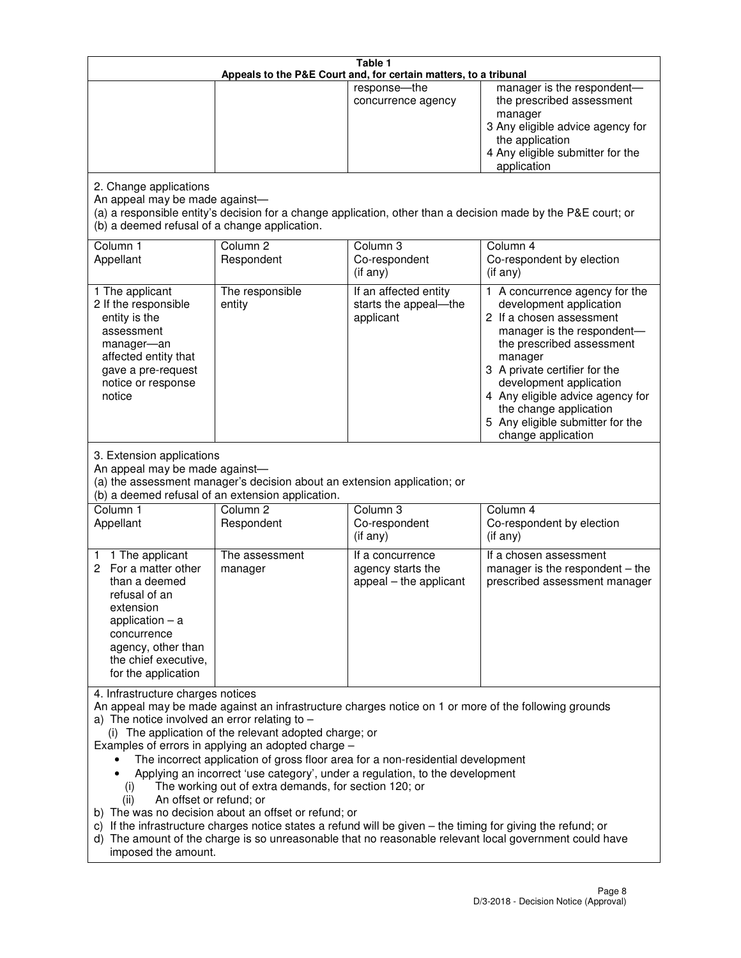|                                                                                                                                                                                                      |                                                                                                                                                                                                                               | Table 1<br>Appeals to the P&E Court and, for certain matters, to a tribunal                                                                                                                                                                                                     |                                                                                                                                                                                                                                                                                                                                                 |
|------------------------------------------------------------------------------------------------------------------------------------------------------------------------------------------------------|-------------------------------------------------------------------------------------------------------------------------------------------------------------------------------------------------------------------------------|---------------------------------------------------------------------------------------------------------------------------------------------------------------------------------------------------------------------------------------------------------------------------------|-------------------------------------------------------------------------------------------------------------------------------------------------------------------------------------------------------------------------------------------------------------------------------------------------------------------------------------------------|
|                                                                                                                                                                                                      |                                                                                                                                                                                                                               | response-the<br>concurrence agency                                                                                                                                                                                                                                              | manager is the respondent-<br>the prescribed assessment<br>manager<br>3 Any eligible advice agency for<br>the application<br>4 Any eligible submitter for the<br>application                                                                                                                                                                    |
| 2. Change applications<br>An appeal may be made against-<br>(b) a deemed refusal of a change application.                                                                                            |                                                                                                                                                                                                                               |                                                                                                                                                                                                                                                                                 | (a) a responsible entity's decision for a change application, other than a decision made by the P&E court; or                                                                                                                                                                                                                                   |
| Column 1<br>Appellant                                                                                                                                                                                | Column <sub>2</sub><br>Respondent                                                                                                                                                                                             | Column 3<br>Co-respondent<br>(if any)                                                                                                                                                                                                                                           | Column 4<br>Co-respondent by election<br>(if any)                                                                                                                                                                                                                                                                                               |
| 1 The applicant<br>2 If the responsible<br>entity is the<br>assessment<br>manager-an<br>affected entity that<br>gave a pre-request<br>notice or response<br>notice                                   | The responsible<br>entity                                                                                                                                                                                                     | If an affected entity<br>starts the appeal-the<br>applicant                                                                                                                                                                                                                     | 1 A concurrence agency for the<br>development application<br>2 If a chosen assessment<br>manager is the respondent-<br>the prescribed assessment<br>manager<br>3 A private certifier for the<br>development application<br>4 Any eligible advice agency for<br>the change application<br>5 Any eligible submitter for the<br>change application |
| 3. Extension applications<br>An appeal may be made against-<br>Column 1<br>Appellant                                                                                                                 | (a) the assessment manager's decision about an extension application; or<br>(b) a deemed refusal of an extension application.<br>Column <sub>2</sub><br>Respondent                                                            | Column 3<br>Co-respondent                                                                                                                                                                                                                                                       | Column 4<br>Co-respondent by election                                                                                                                                                                                                                                                                                                           |
| 1 The applicant<br>1<br>2 For a matter other<br>than a deemed<br>refusal of an<br>extension<br>application $-$ a<br>concurrence<br>agency, other than<br>the chief executive,<br>for the application | The assessment<br>manager                                                                                                                                                                                                     | (if any)<br>If a concurrence<br>agency starts the<br>appeal - the applicant                                                                                                                                                                                                     | (if any)<br>If a chosen assessment<br>manager is the respondent $-$ the<br>prescribed assessment manager                                                                                                                                                                                                                                        |
| 4. Infrastructure charges notices<br>a) The notice involved an error relating to $-$<br>(i)<br>An offset or refund; or<br>(ii)<br>imposed the amount.                                                | (i) The application of the relevant adopted charge; or<br>Examples of errors in applying an adopted charge -<br>The working out of extra demands, for section 120; or<br>b) The was no decision about an offset or refund; or | The incorrect application of gross floor area for a non-residential development<br>Applying an incorrect 'use category', under a regulation, to the development<br>c) If the infrastructure charges notice states a refund will be given - the timing for giving the refund; or | An appeal may be made against an infrastructure charges notice on 1 or more of the following grounds<br>d) The amount of the charge is so unreasonable that no reasonable relevant local government could have                                                                                                                                  |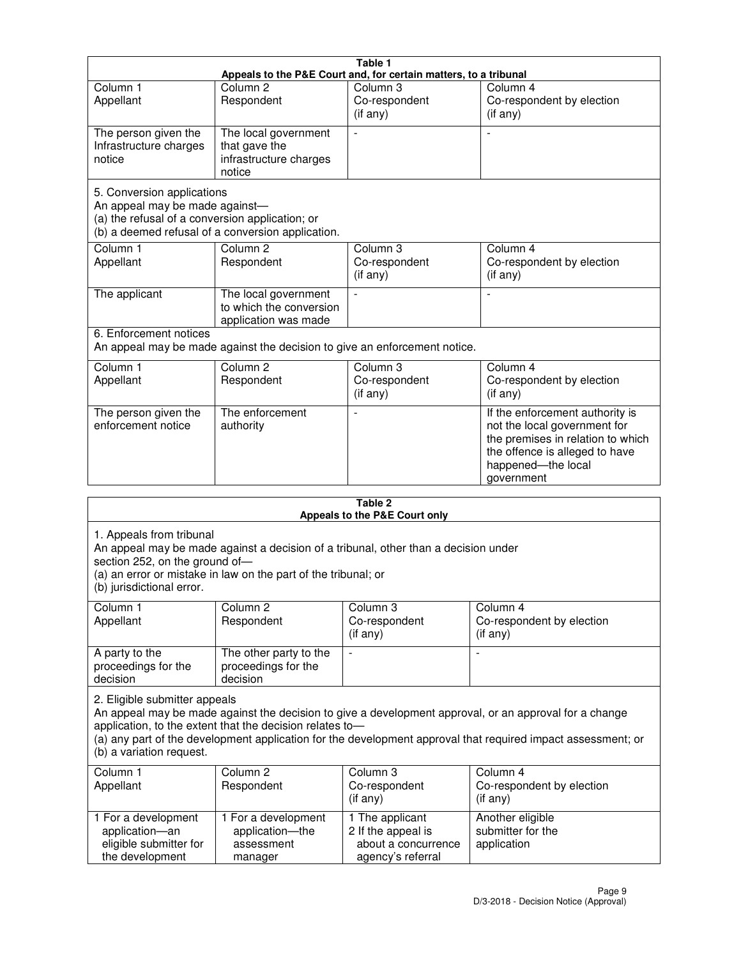|                                                                                                                 |                                                                           | Table 1                                                          |                                                                                                                                                                            |
|-----------------------------------------------------------------------------------------------------------------|---------------------------------------------------------------------------|------------------------------------------------------------------|----------------------------------------------------------------------------------------------------------------------------------------------------------------------------|
|                                                                                                                 |                                                                           | Appeals to the P&E Court and, for certain matters, to a tribunal |                                                                                                                                                                            |
| Column <sub>1</sub><br>Appellant                                                                                | Column <sub>2</sub><br>Respondent                                         | Column 3<br>Co-respondent<br>(if any)                            | Column 4<br>Co-respondent by election<br>(if any)                                                                                                                          |
| The person given the<br>Infrastructure charges<br>notice                                                        | The local government<br>that gave the<br>infrastructure charges<br>notice |                                                                  |                                                                                                                                                                            |
| 5. Conversion applications<br>An appeal may be made against-<br>(a) the refusal of a conversion application; or | (b) a deemed refusal of a conversion application.                         |                                                                  |                                                                                                                                                                            |
| Column <sub>1</sub><br>Appellant                                                                                | Column <sub>2</sub><br>Respondent                                         | Column <sub>3</sub><br>Co-respondent<br>(if any)                 | Column 4<br>Co-respondent by election<br>(if any)                                                                                                                          |
| The applicant                                                                                                   | The local government<br>to which the conversion<br>application was made   |                                                                  |                                                                                                                                                                            |
| 6. Enforcement notices                                                                                          | An appeal may be made against the decision to give an enforcement notice. |                                                                  |                                                                                                                                                                            |
| Column <sub>1</sub><br>Appellant                                                                                | Column <sub>2</sub><br>Respondent                                         | Column 3<br>Co-respondent<br>(if any)                            | Column 4<br>Co-respondent by election<br>(if any)                                                                                                                          |
| The person given the<br>enforcement notice                                                                      | The enforcement<br>authority                                              |                                                                  | If the enforcement authority is<br>not the local government for<br>the premises in relation to which<br>the offence is alleged to have<br>happened-the local<br>government |
|                                                                                                                 |                                                                           | 2 Tahle                                                          |                                                                                                                                                                            |

|                                                                                         |                                                                                                                                                       | Table 2<br>Appeals to the P&E Court only                                          |                                                                                                                                                                                                                        |
|-----------------------------------------------------------------------------------------|-------------------------------------------------------------------------------------------------------------------------------------------------------|-----------------------------------------------------------------------------------|------------------------------------------------------------------------------------------------------------------------------------------------------------------------------------------------------------------------|
| 1. Appeals from tribunal<br>section 252, on the ground of-<br>(b) jurisdictional error. | An appeal may be made against a decision of a tribunal, other than a decision under<br>(a) an error or mistake in law on the part of the tribunal; or |                                                                                   |                                                                                                                                                                                                                        |
| Column <sub>1</sub><br>Appellant                                                        | Column <sub>2</sub><br>Respondent                                                                                                                     | Column 3<br>Co-respondent<br>(if any)                                             | Column <sub>4</sub><br>Co-respondent by election<br>(if any)                                                                                                                                                           |
| A party to the<br>proceedings for the<br>decision                                       | The other party to the<br>proceedings for the<br>decision                                                                                             | $\blacksquare$                                                                    |                                                                                                                                                                                                                        |
| 2. Eligible submitter appeals<br>(b) a variation request.                               | application, to the extent that the decision relates to-                                                                                              |                                                                                   | An appeal may be made against the decision to give a development approval, or an approval for a change<br>(a) any part of the development application for the development approval that required impact assessment; or |
| Column 1<br>Appellant                                                                   | Column <sub>2</sub><br>Respondent                                                                                                                     | Column <sub>3</sub><br>Co-respondent<br>(i f any)                                 | Column 4<br>Co-respondent by election<br>(i f any)                                                                                                                                                                     |
| 1 For a development<br>application-an<br>eligible submitter for<br>the development      | 1 For a development<br>application-the<br>assessment<br>manager                                                                                       | 1 The applicant<br>2 If the appeal is<br>about a concurrence<br>agency's referral | Another eligible<br>submitter for the<br>application                                                                                                                                                                   |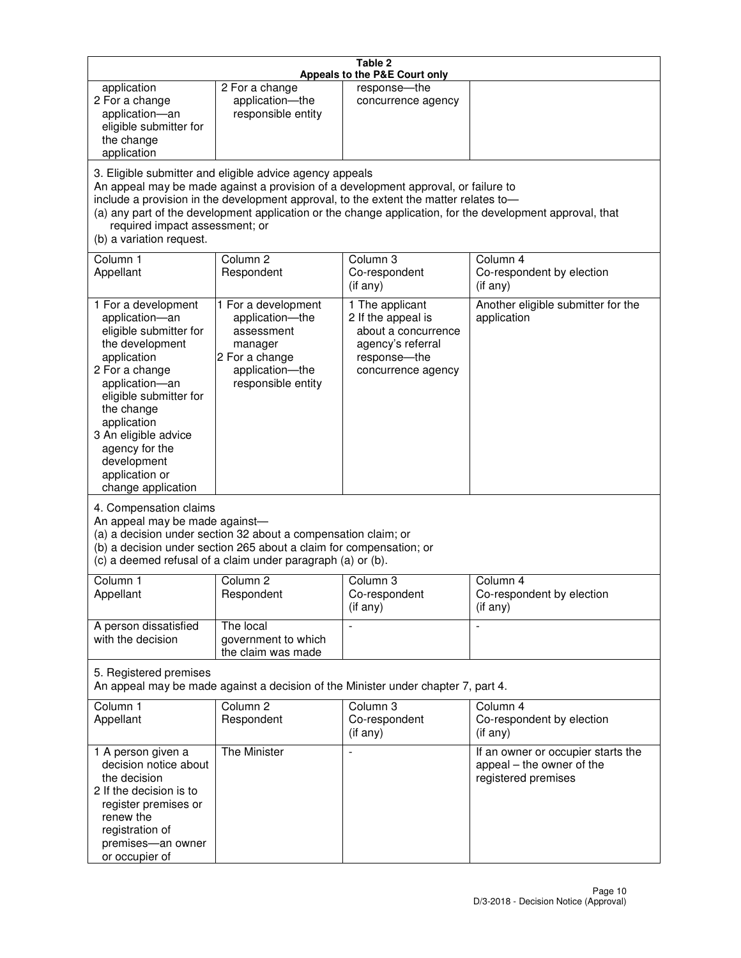| Table 2<br>Appeals to the P&E Court only                                                                                                                                                                                                                                                      |                                                                                                                            |                                                                                                                                                                             |                                                                                                           |
|-----------------------------------------------------------------------------------------------------------------------------------------------------------------------------------------------------------------------------------------------------------------------------------------------|----------------------------------------------------------------------------------------------------------------------------|-----------------------------------------------------------------------------------------------------------------------------------------------------------------------------|-----------------------------------------------------------------------------------------------------------|
| application<br>2 For a change<br>application-an<br>eligible submitter for<br>the change<br>application                                                                                                                                                                                        | 2 For a change<br>application-the<br>responsible entity                                                                    | response-the<br>concurrence agency                                                                                                                                          |                                                                                                           |
| required impact assessment; or<br>(b) a variation request.                                                                                                                                                                                                                                    | 3. Eligible submitter and eligible advice agency appeals                                                                   | An appeal may be made against a provision of a development approval, or failure to<br>include a provision in the development approval, to the extent the matter relates to- | (a) any part of the development application or the change application, for the development approval, that |
| Column 1<br>Appellant                                                                                                                                                                                                                                                                         | Column <sub>2</sub><br>Respondent                                                                                          | Column <sub>3</sub><br>Co-respondent<br>(if any)                                                                                                                            | Column 4<br>Co-respondent by election<br>(if any)                                                         |
| 1 For a development<br>application-an<br>eligible submitter for<br>the development<br>application<br>2 For a change<br>application-an<br>eligible submitter for<br>the change<br>application<br>3 An eligible advice<br>agency for the<br>development<br>application or<br>change application | 1 For a development<br>application-the<br>assessment<br>manager<br>2 For a change<br>application-the<br>responsible entity | 1 The applicant<br>2 If the appeal is<br>about a concurrence<br>agency's referral<br>response-the<br>concurrence agency                                                     | Another eligible submitter for the<br>application                                                         |
| 4. Compensation claims<br>An appeal may be made against-<br>(a) a decision under section 32 about a compensation claim; or<br>(b) a decision under section 265 about a claim for compensation; or<br>(c) a deemed refusal of a claim under paragraph (a) or (b).                              |                                                                                                                            |                                                                                                                                                                             |                                                                                                           |
| Column 1<br>Appellant                                                                                                                                                                                                                                                                         | Column 2<br>Respondent                                                                                                     | Column 3<br>Co-respondent<br>(if any)                                                                                                                                       | Column 4<br>Co-respondent by election<br>$($ if any $)$                                                   |
| A person dissatisfied<br>with the decision                                                                                                                                                                                                                                                    | The local<br>government to which<br>the claim was made                                                                     |                                                                                                                                                                             | $\blacksquare$                                                                                            |
| 5. Registered premises<br>An appeal may be made against a decision of the Minister under chapter 7, part 4.                                                                                                                                                                                   |                                                                                                                            |                                                                                                                                                                             |                                                                                                           |
| Column 1<br>Appellant                                                                                                                                                                                                                                                                         | Column <sub>2</sub><br>Respondent                                                                                          | Column 3<br>Co-respondent<br>(if any)                                                                                                                                       | Column 4<br>Co-respondent by election<br>(if any)                                                         |
| 1 A person given a<br>decision notice about<br>the decision<br>2 If the decision is to<br>register premises or<br>renew the<br>registration of<br>premises-an owner<br>or occupier of                                                                                                         | The Minister                                                                                                               | $\overline{a}$                                                                                                                                                              | If an owner or occupier starts the<br>appeal – the owner of the<br>registered premises                    |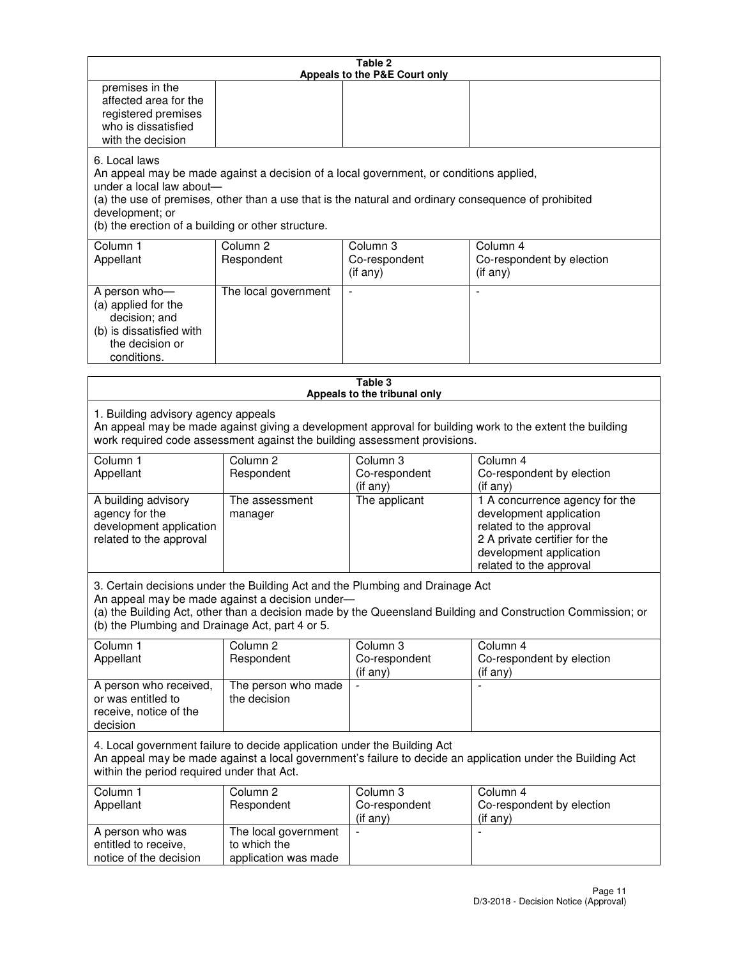|                                                                                                                                                                                                              |                                     | Table 2<br>Appeals to the P&E Court only               |                                                                                                                                                                                         |
|--------------------------------------------------------------------------------------------------------------------------------------------------------------------------------------------------------------|-------------------------------------|--------------------------------------------------------|-----------------------------------------------------------------------------------------------------------------------------------------------------------------------------------------|
| premises in the<br>affected area for the<br>registered premises<br>who is dissatisfied<br>with the decision                                                                                                  |                                     |                                                        |                                                                                                                                                                                         |
| 6. Local laws<br>An appeal may be made against a decision of a local government, or conditions applied,<br>under a local law about-<br>development; or<br>(b) the erection of a building or other structure. |                                     |                                                        | (a) the use of premises, other than a use that is the natural and ordinary consequence of prohibited                                                                                    |
| Column 1<br>Appellant                                                                                                                                                                                        | Column <sub>2</sub><br>Respondent   | Column <sub>3</sub><br>Co-respondent<br>$($ if any $)$ | Column 4<br>Co-respondent by election<br>(if any)                                                                                                                                       |
| A person who-<br>(a) applied for the<br>decision; and<br>(b) is dissatisfied with<br>the decision or<br>conditions.                                                                                          | The local government                |                                                        |                                                                                                                                                                                         |
|                                                                                                                                                                                                              |                                     | Table 3<br>Appeals to the tribunal only                |                                                                                                                                                                                         |
| 1. Building advisory agency appeals<br>work required code assessment against the building assessment provisions.<br>Column 1<br>Appellant                                                                    | Column <sub>2</sub><br>Respondent   | Column 3<br>Co-respondent                              | An appeal may be made against giving a development approval for building work to the extent the building<br>Column 4<br>Co-respondent by election                                       |
| A building advisory<br>agency for the<br>development application<br>related to the approval                                                                                                                  | The assessment<br>manager           | (if any)<br>The applicant                              | (if any)<br>1 A concurrence agency for the<br>development application<br>related to the approval<br>2 A private certifier for the<br>development application<br>related to the approval |
| 3. Certain decisions under the Building Act and the Plumbing and Drainage Act<br>An appeal may be made against a decision under-<br>(b) the Plumbing and Drainage Act, part 4 or 5.                          |                                     |                                                        | (a) the Building Act, other than a decision made by the Queensland Building and Construction Commission; or                                                                             |
| Column 1<br>Appellant                                                                                                                                                                                        | Column <sub>2</sub><br>Respondent   | Column <sub>3</sub><br>Co-respondent<br>(if any)       | Column 4<br>Co-respondent by election<br>(i f any)                                                                                                                                      |
| A person who received,<br>or was entitled to<br>receive, notice of the<br>decision                                                                                                                           | The person who made<br>the decision | $\blacksquare$                                         | ÷,                                                                                                                                                                                      |
| 4. Local government failure to decide application under the Building Act                                                                                                                                     |                                     |                                                        | An appeal may be made against a local government's failure to decide an application under the Building Act                                                                              |
| within the period required under that Act.                                                                                                                                                                   |                                     |                                                        |                                                                                                                                                                                         |
| Column 1<br>Appellant                                                                                                                                                                                        | Column <sub>2</sub><br>Respondent   | Column 3<br>Co-respondent<br>(if any)                  | Column 4<br>Co-respondent by election<br>(if any)                                                                                                                                       |